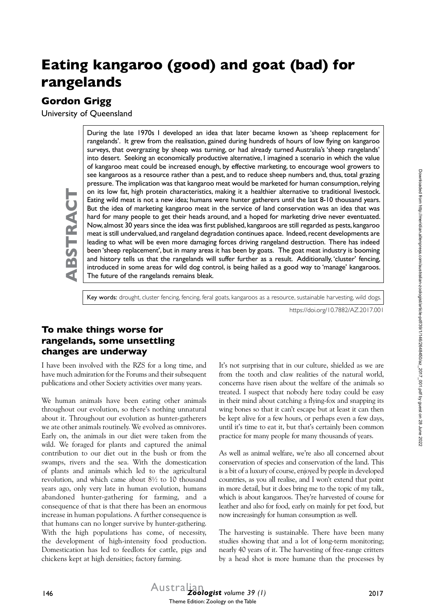# **Eating kangaroo (good) and goat (bad) for rangelands**

## **Gordon Grigg**

**ABSTRACT**

BSTRAC

University of Queensland

During the late 1970s I developed an idea that later became known as 'sheep replacement for rangelands'. It grew from the realisation, gained during hundreds of hours of low flying on kangaroo surveys, that overgrazing by sheep was turning, or had already turned Australia's 'sheep rangelands' into desert. Seeking an economically productive alternative, I imagined a scenario in which the value of kangaroo meat could be increased enough, by effective marketing, to encourage wool growers to see kangaroos as a resource rather than a pest, and to reduce sheep numbers and, thus, total grazing pressure. The implication was that kangaroo meat would be marketed for human consumption, relying on its low fat, high protein characteristics, making it a healthier alternative to traditional livestock. Eating wild meat is not a new idea; humans were hunter gatherers until the last 8-10 thousand years. But the idea of marketing kangaroo meat in the service of land conservation was an idea that was hard for many people to get their heads around, and a hoped for marketing drive never eventuated. Now, almost 30 years since the idea was first published, kangaroos are still regarded as pests, kangaroo meat is still undervalued, and rangeland degradation continues apace. Indeed, recent developments are leading to what will be even more damaging forces driving rangeland destruction. There has indeed been 'sheep replacement', but in many areas it has been by goats. The goat meat industry is booming and history tells us that the rangelands will suffer further as a result. Additionally, 'cluster' fencing, introduced in some areas for wild dog control, is being hailed as a good way to 'manage' kangaroos. The future of the rangelands remains bleak.

Key words: drought, cluster fencing, fencing, feral goats, kangaroos as a resource, sustainable harvesting, wild dogs.

https://doi.org/10.7882/AZ.2017.001

## **To make things worse for rangelands, some unsettling changes are underway**

I have been involved with the RZS for a long time, and have much admiration for the Forums and their subsequent publications and other Society activities over many years.

We human animals have been eating other animals throughout our evolution, so there's nothing unnatural about it. Throughout our evolution as hunter-gatherers we ate other animals routinely. We evolved as omnivores. Early on, the animals in our diet were taken from the wild. We foraged for plants and captured the animal contribution to our diet out in the bush or from the swamps, rivers and the sea. With the domestication of plants and animals which led to the agricultural revolution, and which came about 8½ to 10 thousand years ago, only very late in human evolution, humans abandoned hunter-gathering for farming, and a consequence of that is that there has been an enormous increase in human populations. A further consequence is that humans can no longer survive by hunter-gathering. With the high populations has come, of necessity, the development of high-intensity food production. Domestication has led to feedlots for cattle, pigs and chickens kept at high densities; factory farming.

It's not surprising that in our culture, shielded as we are from the tooth and claw realities of the natural world, concerns have risen about the welfare of the animals so treated. I suspect that nobody here today could be easy in their mind about catching a flying-fox and snapping its wing bones so that it can't escape but at least it can then be kept alive for a few hours, or perhaps even a few days, until it's time to eat it, but that's certainly been common practice for many people for many thousands of years.

As well as animal welfare, we're also all concerned about conservation of species and conservation of the land. This is a bit of a luxury of course, enjoyed by people in developed countries, as you all realise, and I won't extend that point in more detail, but it does bring me to the topic of my talk, which is about kangaroos. They're harvested of course for leather and also for food, early on mainly for pet food, but now increasingly for human consumption as well.

The harvesting is sustainable. There have been many studies showing that and a lot of long-term monitoring; nearly 40 years of it. The harvesting of free-range critters by a head shot is more humane than the processes by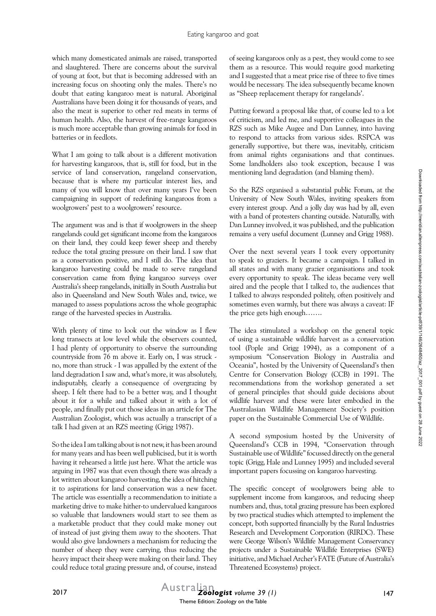which many domesticated animals are raised, transported and slaughtered. There are concerns about the survival of young at foot, but that is becoming addressed with an increasing focus on shooting only the males. There's no doubt that eating kangaroo meat is natural. Aboriginal Australians have been doing it for thousands of years, and also the meat is superior to other red meats in terms of human health. Also, the harvest of free-range kangaroos is much more acceptable than growing animals for food in batteries or in feedlots.

What I am going to talk about is a different motivation for harvesting kangaroos, that is, still for food, but in the service of land conservation, rangeland conservation, because that is where my particular interest lies, and many of you will know that over many years I've been campaigning in support of redefining kangaroos from a woolgrowers' pest to a woolgrowers' resource.

The argument was and is that if woolgrowers in the sheep rangelands could get significant income from the kangaroos on their land, they could keep fewer sheep and thereby reduce the total grazing pressure on their land. I saw that as a conservation positive, and I still do. The idea that kangaroo harvesting could be made to serve rangeland conservation came from flying kangaroo surveys over Australia's sheep rangelands, initially in South Australia but also in Queensland and New South Wales and, twice, we managed to assess populations across the whole geographic range of the harvested species in Australia.

With plenty of time to look out the window as I flew long transects at low level while the observers counted, I had plenty of opportunity to observe the surrounding countryside from 76 m above it. Early on, I was struck no, more than struck - I was appalled by the extent of the land degradation I saw and, what's more, it was absolutely, indisputably, clearly a consequence of overgrazing by sheep. I felt there had to be a better way, and I thought about it for a while and talked about it with a lot of people, and finally put out those ideas in an article for The Australian Zoologist, which was actually a transcript of a talk I had given at an RZS meeting (Grigg 1987).

So the idea I am talking about is not new, it has been around for many years and has been well publicised, but it is worth having it rehearsed a little just here. What the article was arguing in 1987 was that even though there was already a lot written about kangaroo harvesting, the idea of hitching it to aspirations for land conservation was a new facet. The article was essentially a recommendation to initiate a marketing drive to make hither-to undervalued kangaroos so valuable that landowners would start to see them as a marketable product that they could make money out of instead of just giving them away to the shooters. That would also give landowners a mechanism for reducing the number of sheep they were carrying, thus reducing the heavy impact their sheep were making on their land. They could reduce total grazing pressure and, of course, instead

of seeing kangaroos only as a pest, they would come to see them as a resource. This would require good marketing and I suggested that a meat price rise of three to five times would be necessary. The idea subsequently became known as "Sheep replacement therapy for rangelands'.

Putting forward a proposal like that, of course led to a lot of criticism, and led me, and supportive colleagues in the RZS such as Mike Augee and Dan Lunney, into having to respond to attacks from various sides. RSPCA was generally supportive, but there was, inevitably, criticism from animal rights organisations and that continues. Some landholders also took exception, because I was mentioning land degradation (and blaming them).

So the RZS organised a substantial public Forum, at the University of New South Wales, inviting speakers from every interest group. And a jolly day was had by all, even with a band of protesters chanting outside. Naturally, with Dan Lunney involved, it was published, and the publication remains a very useful document (Lunney and Grigg 1988).

Over the next several years I took every opportunity to speak to graziers. It became a campaign. I talked in all states and with many grazier organisations and took every opportunity to speak. The ideas became very well aired and the people that I talked to, the audiences that I talked to always responded politely, often positively and sometimes even warmly, but there was always a caveat: IF the price gets high enough…….

The idea stimulated a workshop on the general topic of using a sustainable wildlife harvest as a conservation tool (Pople and Grigg 1994), as a component of a symposium "Conservation Biology in Australia and Oceania", hosted by the University of Queensland's then Centre for Conservation Biology (CCB) in 1991. The recommendations from the workshop generated a set of general principles that should guide decisions about wildlife harvest and these were later embodied in the Australasian Wildlife Management Society's position paper on the Sustainable Commercial Use of Wildlife.

A second symposium hosted by the University of Queensland's CCB in 1994, "Conservation through Sustainable use of Wildlife" focussed directly on the general topic (Grigg, Hale and Lunney 1995) and included several important papers focussing on kangaroo harvesting.

The specific concept of woolgrowers being able to supplement income from kangaroos, and reducing sheep numbers and, thus, total grazing pressure has been explored by two practical studies which attempted to implement the concept, both supported financially by the Rural Industries Research and Development Corporation (RIRDC). These were George Wilson's Wildlife Management Conservancy projects under a Sustainable Wildlife Enterprises (SWE) initiative, and Michael Archer's FATE (Future of Australia's Threatened Ecosystems) project.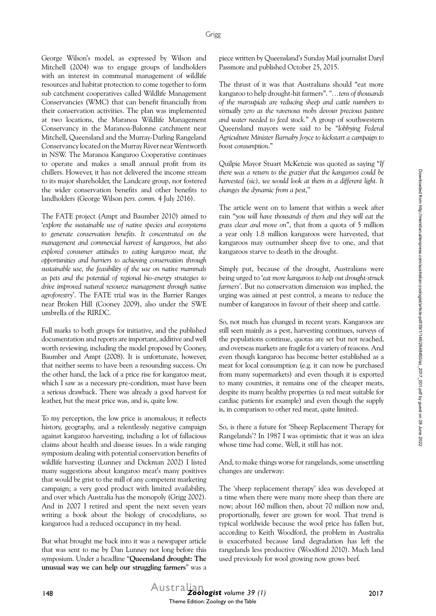George Wilson's model, as expressed by Wilson and Mitchell (2004) was to engage groups of landholders with an interest in communal management of wildlife resources and habitat protection to come together to form sub catchment cooperatives called Wildlife Management Conservancies (WMC) that can benefit financially from their conservation activities. The plan was implemented at two locations, the Maranoa Wildlife Management Conservancy in the Maranoa-Balonne catchment near Mitchell, Queensland and the Murray-Darling Rangeland Conservancy located on the Murray River near Wentworth in NSW. The Maranoa Kangaroo Cooperative continues to operate and makes a small annual profit from its chillers. However, it has not delivered the income stream to its major shareholder, the Landcare group, nor fostered the wider conservation benefits and other benefits to landholders (George Wilson *pers. comm.* 4 July 2016).

The FATE project (Ampt and Baumber 2010) aimed to '*explore the sustainable use of native species and ecosystems to generate conservation benefits. It concentrated on the management and commercial harvest of kangaroos, but also explored consumer attitudes to eating kangaroo meat, the opportunities and barriers to achieving conservation through sustainable use, the feasibility of the use on native mammals as pets and the potential of regional bio-energy strategies to drive improved natural resource management through native agroforestry*'. The FATE trial was in the Barrier Ranges near Broken Hill (Cooney 2009), also under the SWE umbrella of the RIRDC.

Full marks to both groups for initiative, and the published documentation and reports are important, additive and well worth reviewing, including the model proposed by Cooney, Baumber and Ampt (2008). It is unfortunate, however, that neither seems to have been a resounding success. On the other hand, the lack of a price rise for kangaroo meat, which I saw as a necessary pre-condition, must have been a serious drawback. There was already a good harvest for leather, but the meat price was, and is, quite low.

To my perception, the low price is anomalous; it reflects history, geography, and a relentlessly negative campaign against kangaroo harvesting, including a lot of fallacious claims about health and disease issues. In a wide ranging symposium dealing with potential conservation benefits of wildlife harvesting (Lunney and Dickman 2002) I listed many suggestions about kangaroo meat's many positives that would be grist to the mill of any competent marketing campaign; a very good product with limited availability, and over which Australia has the monopoly (Grigg 2002). And in 2007 I retired and spent the next seven years writing a book about the biology of crocodylians, so kangaroos had a reduced occupancy in my head.

But what brought me back into it was a newspaper article that was sent to me by Dan Lunney not long before this symposium. Under a headline "**Queensland drought: The unusual way we can help our struggling farmers**" was a piece written by Queensland's Sunday Mail journalist Daryl Passmore and published October 25, 2015.

The thrust of it was that Australians should "eat more kangaroo to help drought-hit farmers". *"…tens of thousands of the marsupials are reducing sheep and cattle numbers to virtually zero as the ravenous mobs devour precious pasture and water needed to feed stock.*" A group of southwestern Queensland mayors were said to be "*lobbying Federal Agriculture Minister Barnaby Joyce to kickstart a campaign to boost consumption*."

Quilpie Mayor Stuart McKenzie was quoted as saying "*If there was a return to the grazier that the kangaroos could be harvested (sic), we would look at them in a different light. It changes the dynamic from a pest*,''

The article went on to lament that within a week after rain "*you will have thousands of them and they will eat the grass clear and move on*", that from a quota of 5 million a year only 1.8 million kangaroos were harvested, that kangaroos may outnumber sheep five to one, and that kangaroos starve to death in the drought.

Simply put, because of the drought, Australians were being urged to '*eat more kangaroos to help out drought-struck farmers'*. But no conservation dimension was implied, the urging was aimed at pest control, a means to reduce the number of kangaroos in favour of their sheep and cattle.

So, not much has changed in recent years. Kangaroos are still seen mainly as a pest, harvesting continues, surveys of the populations continue, quotas are set but not reached, and overseas markets are fragile for a variety of reasons. And even though kangaroo has become better established as a meat for local consumption (e.g. it can now be purchased from many supermarkets) and even though it is exported to many countries, it remains one of the cheaper meats, despite its many healthy properties (a red meat suitable for cardiac patients for example) and even though the supply is, in comparison to other red meat, quite limited.

So, is there a future for 'Sheep Replacement Therapy for Rangelands'? In 1987 I was optimistic that it was an idea whose time had come. Well, it still has not.

And, to make things worse for rangelands, some unsettling changes are underway:

The 'sheep replacement therapy' idea was developed at a time when there were many more sheep than there are now; about 160 million then, about 70 million now and, proportionally, fewer are grown for wool. That trend is typical worldwide because the wool price has fallen but, according to Keith Woodford, the problem in Australia is exacerbated because land degradation has left the rangelands less productive (Woodford 2010). Much land used previously for wool growing now grows beef.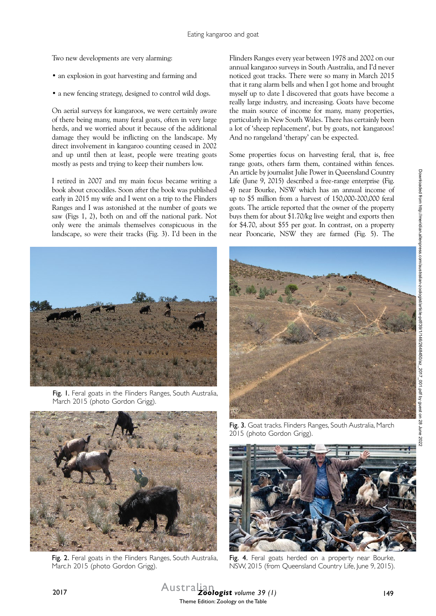Two new developments are very alarming:

- an explosion in goat harvesting and farming and
- a new fencing strategy, designed to control wild dogs.

On aerial surveys for kangaroos, we were certainly aware of there being many, many feral goats, often in very large herds, and we worried about it because of the additional damage they would be inflicting on the landscape. My direct involvement in kangaroo counting ceased in 2002 and up until then at least, people were treating goats mostly as pests and trying to keep their numbers low.

I retired in 2007 and my main focus became writing a book about crocodiles. Soon after the book was published early in 2015 my wife and I went on a trip to the Flinders Ranges and I was astonished at the number of goats we saw (Figs 1, 2), both on and off the national park. Not only were the animals themselves conspicuous in the landscape, so were their tracks (Fig. 3). I'd been in the



Fig. I. Feral goats in the Flinders Ranges, South Australia, March 2015 (photo Gordon Grigg).



Some properties focus on harvesting feral, that is, free range goats, others farm them, contained within fences. An article by journalist Julie Power in Queensland Country Life (June 9, 2015) described a free-range enterprise (Fig. 4) near Bourke, NSW which has an annual income of up to \$5 million from a harvest of 150,000-200,000 feral goats. The article reported that the owner of the property buys them for about \$1.70/kg live weight and exports then for \$4.70, about \$55 per goat. In contrast, on a property near Pooncarie, NSW they are farmed (Fig. 5). The





Fig. 2. Feral goats in the Flinders Ranges, South Australia, Marc.h 2015 (photo Gordon Grigg).

Fig. 3. Goat tracks. Flinders Ranges, South Australia, March 2015 (photo Gordon Grigg).



Fig. 4. Feral goats herded on a property near Bourke, NSW, 2015 (from Queensland Country Life, June 9, 2015).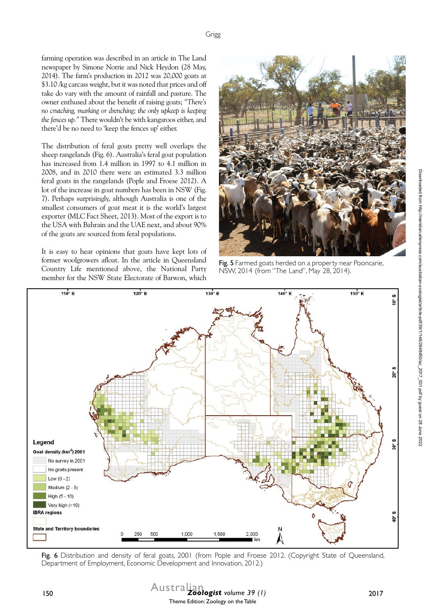farming operation was described in an article in The Land newspaper by Simone Norrie and Nick Heydon (28 May, 2014). The farm's production in 2012 was 20,000 goats at \$3.10 /kg carcass weight, but it was noted that prices and off take do vary with the amount of rainfall and pasture. The owner enthused about the benefit of raising goats; *"There's no crutching, marking or drenching; the only upkeep is keeping the fences up."* There wouldn't be with kangaroos either, and there'd be no need to 'keep the fences up' either.

The distribution of feral goats pretty well overlaps the sheep rangelands (Fig. 6). Australia's feral goat population has increased from 1.4 million in 1997 to 4.1 million in 2008, and in 2010 there were an estimated 3.3 million feral goats in the rangelands (Pople and Froese 2012). A lot of the increase in goat numbers has been in NSW (Fig. 7). Perhaps surprisingly, although Australia is one of the smallest consumers of goat meat it is the world's largest exporter (MLC Fact Sheet, 2013). Most of the export is to the USA with Bahrain and the UAE next, and about 90% of the goats are sourced from feral populations.

It is easy to hear opinions that goats have kept lots of former woolgrowers afloat. In the article in Queensland Country Life mentioned above, the National Party member for the NSW State Electorate of Barwon, which



Fig. 5 Farmed goats herded on a property near Pooncarie, NSW, 2014 (from "The Land", May 28, 2014).



Fig. 6 Distribution and density of feral goats, 2001 (from Pople and Froese 2012. (Copyright State of Queensland, Department of Employment, Economic Development and Innovation, 2012.)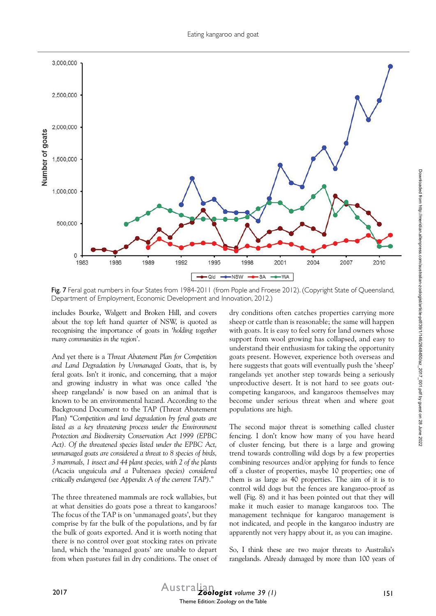

Fig. 7 Feral goat numbers in four States from 1984-2011 (from Pople and Froese 2012). (Copyright State of Queensland, Department of Employment, Economic Development and Innovation, 2012.)

includes Bourke, Walgett and Broken Hill, and covers about the top left hand quarter of NSW, is quoted as recognising the importance of goats in '*holding together many communities in the region*'.

And yet there is a *Threat Abatement Plan for Competition and Land Degradation by Unmanaged Goats*, that is, by feral goats. Isn't it ironic, and concerning, that a major and growing industry in what was once called 'the sheep rangelands' is now based on an animal that is known to be an environmental hazard. According to the Background Document to the TAP (Threat Abatement Plan) "*Competition and land degradation by feral goats are listed as a key threatening process under the Environment Protection and Biodiversity Conservation Act 1999 (EPBC Act). Of the threatened species listed under the EPBC Act, unmanaged goats are considered a threat to 8 species of birds, 3 mammals, 1 insect and 44 plant species, with 2 of the plants (*Acacia unguicula *and a* Pultenaea *species) considered critically endangered (see Appendix A of the current TAP)*."

The three threatened mammals are rock wallabies, but at what densities do goats pose a threat to kangaroos? The focus of the TAP is on 'unmanaged goats', but they comprise by far the bulk of the populations, and by far the bulk of goats exported. And it is worth noting that there is no control over goat stocking rates on private land, which the 'managed goats' are unable to depart from when pastures fail in dry conditions. The onset of dry conditions often catches properties carrying more sheep or cattle than is reasonable; the same will happen with goats. It is easy to feel sorry for land owners whose support from wool growing has collapsed, and easy to understand their enthusiasm for taking the opportunity goats present. However, experience both overseas and here suggests that goats will eventually push the 'sheep' rangelands yet another step towards being a seriously unproductive desert. It is not hard to see goats outcompeting kangaroos, and kangaroos themselves may become under serious threat when and where goat populations are high.

The second major threat is something called cluster fencing. I don't know how many of you have heard of cluster fencing, but there is a large and growing trend towards controlling wild dogs by a few properties combining resources and/or applying for funds to fence off a cluster of properties, maybe 10 properties; one of them is as large as 40 properties. The aim of it is to control wild dogs but the fences are kangaroo-proof as well (Fig. 8) and it has been pointed out that they will make it much easier to manage kangaroos too. The management technique for kangaroo management is not indicated, and people in the kangaroo industry are apparently not very happy about it, as you can imagine.

So, I think these are two major threats to Australia's rangelands. Already damaged by more than 100 years of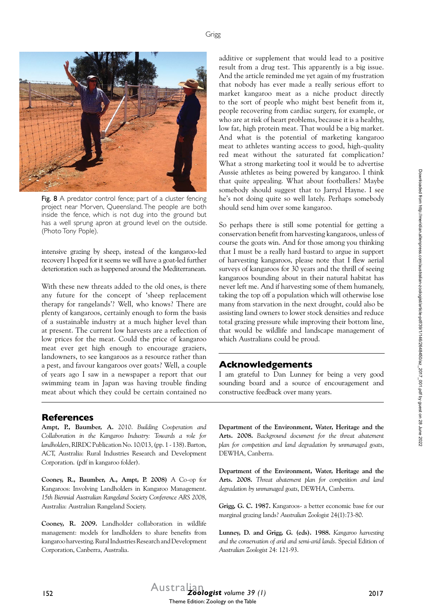

Fig. 8 A predator control fence; part of a cluster fencing project near Morven, Queensland. The people are both inside the fence, which is not dug into the ground but has a well sprung apron at ground level on the outside. (Photo Tony Pople).

intensive grazing by sheep, instead of the kangaroo-led recovery I hoped for it seems we will have a goat-led further deterioration such as happened around the Mediterranean.

With these new threats added to the old ones, is there any future for the concept of 'sheep replacement therapy for rangelands'? Well, who knows? There are plenty of kangaroos, certainly enough to form the basis of a sustainable industry at a much higher level than at present. The current low harvests are a reflection of low prices for the meat. Could the price of kangaroo meat ever get high enough to encourage graziers, landowners, to see kangaroos as a resource rather than a pest, and favour kangaroos over goats? Well, a couple of years ago I saw in a newspaper a report that our swimming team in Japan was having trouble finding meat about which they could be certain contained no

#### **References**

**Ampt, P., Baumber, A.** 2010. *Building Cooperation and Collaboration in the Kangaroo Industry: Towards a role for landholders*, RIRDC Publication No. 10/013, (pp. 1 - 138). Barton, ACT, Australia: Rural Industries Research and Development Corporation. (pdf in kangaroo folder).

**Cooney, R., Baumber, A., Ampt, P. 2008)** A Co-op for Kangaroos: Involving Landholders in Kangaroo Management. *15th Biennial Australian Rangeland Society Conference ARS 2008*, Australia: Australian Rangeland Society.

**Cooney, R. 2009.** Landholder collaboration in wildlife management: models for landholders to share benefits from kangaroo harvesting. Rural Industries Research and Development Corporation, Canberra, Australia.

additive or supplement that would lead to a positive result from a drug test. This apparently is a big issue. And the article reminded me yet again of my frustration that nobody has ever made a really serious effort to market kangaroo meat as a niche product directly to the sort of people who might best benefit from it, people recovering from cardiac surgery, for example, or who are at risk of heart problems, because it is a healthy, low fat, high protein meat. That would be a big market. And what is the potential of marketing kangaroo meat to athletes wanting access to good, high-quality red meat without the saturated fat complication? What a strong marketing tool it would be to advertise Aussie athletes as being powered by kangaroo. I think that quite appealing. What about footballers? Maybe somebody should suggest that to Jarryd Hayne. I see he's not doing quite so well lately. Perhaps somebody should send him over some kangaroo.

So perhaps there is still some potential for getting a conservation benefit from harvesting kangaroos, unless of course the goats win. And for those among you thinking that I must be a really hard bastard to argue in support of harvesting kangaroos, please note that I flew aerial surveys of kangaroos for 30 years and the thrill of seeing kangaroos bounding about in their natural habitat has never left me. And if harvesting some of them humanely, taking the top off a population which will otherwise lose many from starvation in the next drought, could also be assisting land owners to lower stock densities and reduce total grazing pressure while improving their bottom line, that would be wildlife and landscape management of which Australians could be proud.

### **Acknowledgements**

I am grateful to Dan Lunney for being a very good sounding board and a source of encouragement and constructive feedback over many years.

**Department of the Environment, Water, Heritage and the Arts. 2008.** *Background document for the threat abatement plan for competition and land degradation by unmanaged goats*, DEWHA, Canberra.

**Department of the Environment, Water, Heritage and the Arts. 2008.** *Threat abatement plan for competition and land degradation by unmanaged goats*, DEWHA, Canberra.

**Grigg, G. C. 1987.** Kangaroos- a better economic base for our marginal grazing lands? *Australian Zoologist* 24(1):73-80.

**Lunney, D. and Grigg, G. (eds). 1988.** *Kangaroo harvesting and the conservation of arid and semi-arid lands*. Special Edition of *Australian Zoologist* 24: 121-93.